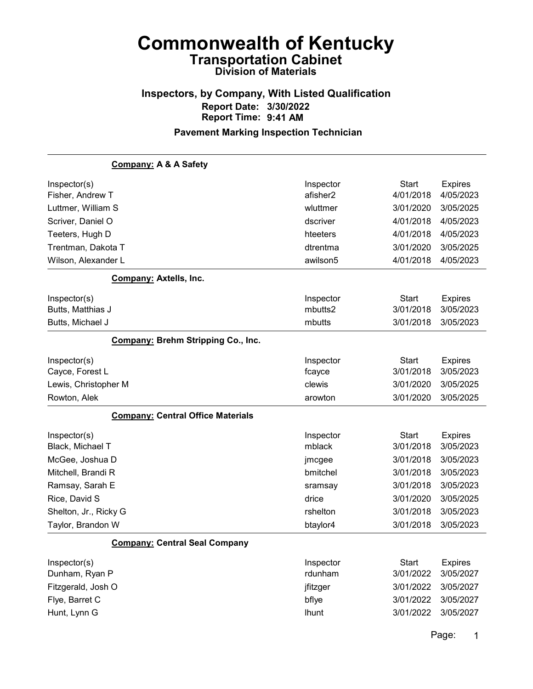## Inspectors, by Company, With Listed Qualification Report Date: 3/30/2022 Report Time: 9:41 AM

#### Pavement Marking Inspection Technician

| Company: A & A Safety                     |              |              |                |
|-------------------------------------------|--------------|--------------|----------------|
| Inspector(s)                              | Inspector    | <b>Start</b> | <b>Expires</b> |
| Fisher, Andrew T                          | afisher2     | 4/01/2018    | 4/05/2023      |
| Luttmer, William S                        | wluttmer     | 3/01/2020    | 3/05/2025      |
| Scriver, Daniel O                         | dscriver     | 4/01/2018    | 4/05/2023      |
| Teeters, Hugh D                           | hteeters     | 4/01/2018    | 4/05/2023      |
| Trentman, Dakota T                        | dtrentma     | 3/01/2020    | 3/05/2025      |
| Wilson, Alexander L                       | awilson5     | 4/01/2018    | 4/05/2023      |
| <b>Company: Axtells, Inc.</b>             |              |              |                |
| Inspector(s)                              | Inspector    | <b>Start</b> | <b>Expires</b> |
| Butts, Matthias J                         | mbutts2      | 3/01/2018    | 3/05/2023      |
| Butts, Michael J                          | mbutts       | 3/01/2018    | 3/05/2023      |
| <b>Company: Brehm Stripping Co., Inc.</b> |              |              |                |
| Inspector(s)                              | Inspector    | <b>Start</b> | <b>Expires</b> |
| Cayce, Forest L                           | fcayce       | 3/01/2018    | 3/05/2023      |
| Lewis, Christopher M                      | clewis       | 3/01/2020    | 3/05/2025      |
| Rowton, Alek                              | arowton      | 3/01/2020    | 3/05/2025      |
| <b>Company: Central Office Materials</b>  |              |              |                |
| Inspector(s)                              | Inspector    | <b>Start</b> | <b>Expires</b> |
| Black, Michael T                          | mblack       | 3/01/2018    | 3/05/2023      |
| McGee, Joshua D                           | jmcgee       | 3/01/2018    | 3/05/2023      |
| Mitchell, Brandi R                        | bmitchel     | 3/01/2018    | 3/05/2023      |
| Ramsay, Sarah E                           | sramsay      | 3/01/2018    | 3/05/2023      |
| Rice, David S                             | drice        | 3/01/2020    | 3/05/2025      |
| Shelton, Jr., Ricky G                     | rshelton     | 3/01/2018    | 3/05/2023      |
| Taylor, Brandon W                         | btaylor4     | 3/01/2018    | 3/05/2023      |
| <b>Company: Central Seal Company</b>      |              |              |                |
| Inspector(s)                              | Inspector    | <b>Start</b> | <b>Expires</b> |
| Dunham, Ryan P                            | rdunham      | 3/01/2022    | 3/05/2027      |
| Fitzgerald, Josh O                        | jfitzger     | 3/01/2022    | 3/05/2027      |
| Flye, Barret C                            | bflye        | 3/01/2022    | 3/05/2027      |
| Hunt, Lynn G                              | <b>Ihunt</b> | 3/01/2022    | 3/05/2027      |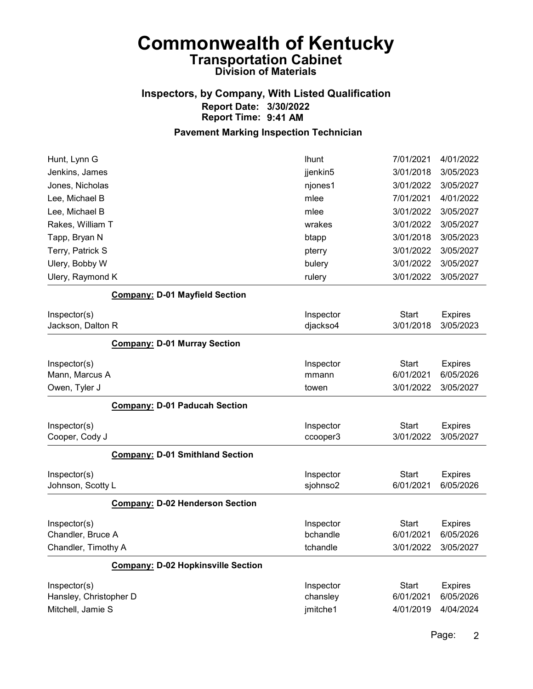### Inspectors, by Company, With Listed Qualification Report Date: 3/30/2022 Report Time: 9:41 AM

#### Pavement Marking Inspection Technician

| Hunt, Lynn G           |                                           | <b>Ihunt</b> | 7/01/2021    | 4/01/2022      |
|------------------------|-------------------------------------------|--------------|--------------|----------------|
| Jenkins, James         |                                           | jjenkin5     | 3/01/2018    | 3/05/2023      |
| Jones, Nicholas        |                                           | njones1      | 3/01/2022    | 3/05/2027      |
| Lee, Michael B         |                                           | mlee         | 7/01/2021    | 4/01/2022      |
| Lee, Michael B         |                                           | mlee         | 3/01/2022    | 3/05/2027      |
| Rakes, William T       |                                           | wrakes       | 3/01/2022    | 3/05/2027      |
| Tapp, Bryan N          |                                           | btapp        | 3/01/2018    | 3/05/2023      |
| Terry, Patrick S       |                                           | pterry       | 3/01/2022    | 3/05/2027      |
| Ulery, Bobby W         |                                           | bulery       | 3/01/2022    | 3/05/2027      |
| Ulery, Raymond K       |                                           | rulery       | 3/01/2022    | 3/05/2027      |
|                        | <b>Company: D-01 Mayfield Section</b>     |              |              |                |
| Inspector(s)           |                                           | Inspector    | <b>Start</b> | <b>Expires</b> |
| Jackson, Dalton R      |                                           | djackso4     | 3/01/2018    | 3/05/2023      |
|                        | <b>Company: D-01 Murray Section</b>       |              |              |                |
| Inspector(s)           |                                           | Inspector    | <b>Start</b> | <b>Expires</b> |
| Mann, Marcus A         |                                           | mmann        | 6/01/2021    | 6/05/2026      |
| Owen, Tyler J          |                                           | towen        | 3/01/2022    | 3/05/2027      |
|                        | <b>Company: D-01 Paducah Section</b>      |              |              |                |
| Inspector(s)           |                                           | Inspector    | <b>Start</b> | <b>Expires</b> |
| Cooper, Cody J         |                                           | ccooper3     | 3/01/2022    | 3/05/2027      |
|                        | <b>Company: D-01 Smithland Section</b>    |              |              |                |
| Inspector(s)           |                                           | Inspector    | <b>Start</b> | <b>Expires</b> |
| Johnson, Scotty L      |                                           | sjohnso2     | 6/01/2021    | 6/05/2026      |
|                        | <b>Company: D-02 Henderson Section</b>    |              |              |                |
| Inspector(s)           |                                           | Inspector    | <b>Start</b> | <b>Expires</b> |
| Chandler, Bruce A      |                                           | bchandle     | 6/01/2021    | 6/05/2026      |
| Chandler, Timothy A    |                                           | tchandle     | 3/01/2022    | 3/05/2027      |
|                        | <b>Company: D-02 Hopkinsville Section</b> |              |              |                |
| Inspector(s)           |                                           | Inspector    | <b>Start</b> | <b>Expires</b> |
| Hansley, Christopher D |                                           | chansley     | 6/01/2021    | 6/05/2026      |
| Mitchell, Jamie S      |                                           | jmitche1     | 4/01/2019    | 4/04/2024      |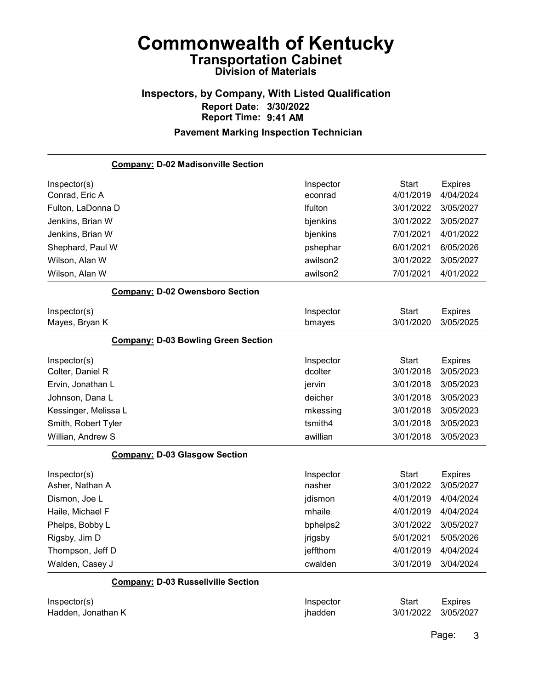## Inspectors, by Company, With Listed Qualification Report Date: 3/30/2022 Report Time: 9:41 AM

### Pavement Marking Inspection Technician

| <b>Company: D-02 Madisonville Section</b>  |           |              |                |
|--------------------------------------------|-----------|--------------|----------------|
| Inspector(s)                               | Inspector | <b>Start</b> | <b>Expires</b> |
| Conrad, Eric A                             | econrad   | 4/01/2019    | 4/04/2024      |
| Fulton, LaDonna D                          | Ifulton   | 3/01/2022    | 3/05/2027      |
| Jenkins, Brian W                           | bjenkins  | 3/01/2022    | 3/05/2027      |
| Jenkins, Brian W                           | bjenkins  | 7/01/2021    | 4/01/2022      |
| Shephard, Paul W                           | pshephar  | 6/01/2021    | 6/05/2026      |
| Wilson, Alan W                             | awilson2  | 3/01/2022    | 3/05/2027      |
| Wilson, Alan W                             | awilson2  | 7/01/2021    | 4/01/2022      |
| <b>Company: D-02 Owensboro Section</b>     |           |              |                |
| Inspector(s)                               | Inspector | <b>Start</b> | <b>Expires</b> |
| Mayes, Bryan K                             | bmayes    | 3/01/2020    | 3/05/2025      |
| <b>Company: D-03 Bowling Green Section</b> |           |              |                |
| Inspector(s)                               | Inspector | <b>Start</b> | <b>Expires</b> |
| Colter, Daniel R                           | dcolter   | 3/01/2018    | 3/05/2023      |
| Ervin, Jonathan L                          | jervin    | 3/01/2018    | 3/05/2023      |
| Johnson, Dana L                            | deicher   | 3/01/2018    | 3/05/2023      |
| Kessinger, Melissa L                       | mkessing  | 3/01/2018    | 3/05/2023      |
| Smith, Robert Tyler                        | tsmith4   | 3/01/2018    | 3/05/2023      |
| Willian, Andrew S                          | awillian  | 3/01/2018    | 3/05/2023      |
| <b>Company: D-03 Glasgow Section</b>       |           |              |                |
| Inspector(s)                               | Inspector | <b>Start</b> | <b>Expires</b> |
| Asher, Nathan A                            | nasher    | 3/01/2022    | 3/05/2027      |
| Dismon, Joe L                              | jdismon   | 4/01/2019    | 4/04/2024      |
| Haile, Michael F                           | mhaile    | 4/01/2019    | 4/04/2024      |
| Phelps, Bobby L                            | bphelps2  | 3/01/2022    | 3/05/2027      |
| Rigsby, Jim D                              | jrigsby   | 5/01/2021    | 5/05/2026      |
| Thompson, Jeff D                           | jeffthom  | 4/01/2019    | 4/04/2024      |
| Walden, Casey J                            | cwalden   | 3/01/2019    | 3/04/2024      |
| <b>Company: D-03 Russellville Section</b>  |           |              |                |
| Inspector(s)                               | Inspector | <b>Start</b> | <b>Expires</b> |
| Hadden, Jonathan K                         | jhadden   | 3/01/2022    | 3/05/2027      |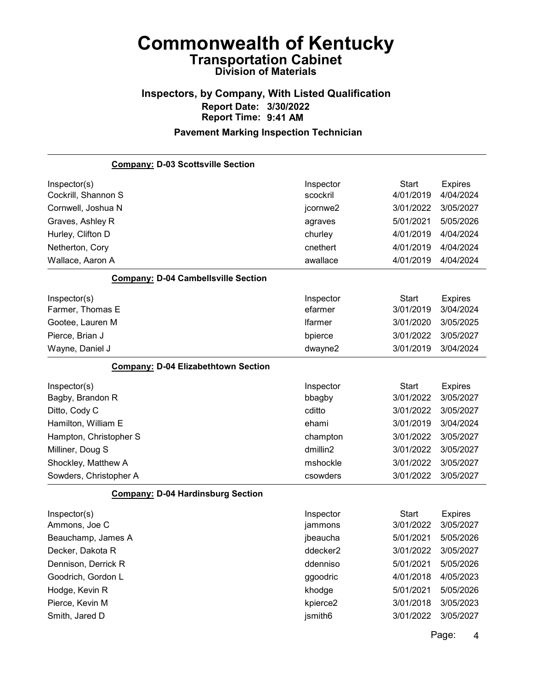## Inspectors, by Company, With Listed Qualification Report Date: 3/30/2022 Report Time: 9:41 AM

## Pavement Marking Inspection Technician

| <b>Company: D-03 Scottsville Section</b>   |                |              |                |
|--------------------------------------------|----------------|--------------|----------------|
| Inspector(s)                               | Inspector      | <b>Start</b> | <b>Expires</b> |
| Cockrill, Shannon S                        | scockril       | 4/01/2019    | 4/04/2024      |
| Cornwell, Joshua N                         | jcornwe2       | 3/01/2022    | 3/05/2027      |
| Graves, Ashley R                           | agraves        | 5/01/2021    | 5/05/2026      |
| Hurley, Clifton D                          | churley        | 4/01/2019    | 4/04/2024      |
| Netherton, Cory                            | cnethert       | 4/01/2019    | 4/04/2024      |
| Wallace, Aaron A                           | awallace       | 4/01/2019    | 4/04/2024      |
| <b>Company: D-04 Cambellsville Section</b> |                |              |                |
| Inspector(s)                               | Inspector      | <b>Start</b> | <b>Expires</b> |
| Farmer, Thomas E                           | efarmer        | 3/01/2019    | 3/04/2024      |
| Gootee, Lauren M                           | <b>Ifarmer</b> | 3/01/2020    | 3/05/2025      |
| Pierce, Brian J                            | bpierce        | 3/01/2022    | 3/05/2027      |
| Wayne, Daniel J                            | dwayne2        | 3/01/2019    | 3/04/2024      |
| <b>Company: D-04 Elizabethtown Section</b> |                |              |                |
| Inspector(s)                               | Inspector      | <b>Start</b> | <b>Expires</b> |
| Bagby, Brandon R                           | bbagby         | 3/01/2022    | 3/05/2027      |
| Ditto, Cody C                              | cditto         | 3/01/2022    | 3/05/2027      |
| Hamilton, William E                        | ehami          | 3/01/2019    | 3/04/2024      |
| Hampton, Christopher S                     | champton       | 3/01/2022    | 3/05/2027      |
| Milliner, Doug S                           | dmillin2       | 3/01/2022    | 3/05/2027      |
| Shockley, Matthew A                        | mshockle       | 3/01/2022    | 3/05/2027      |
| Sowders, Christopher A                     | csowders       | 3/01/2022    | 3/05/2027      |
| <b>Company: D-04 Hardinsburg Section</b>   |                |              |                |
| Inspector(s)                               | Inspector      | <b>Start</b> | <b>Expires</b> |
| Ammons, Joe C                              | jammons        | 3/01/2022    | 3/05/2027      |
| Beauchamp, James A                         | jbeaucha       | 5/01/2021    | 5/05/2026      |
| Decker, Dakota R                           | ddecker2       | 3/01/2022    | 3/05/2027      |
| Dennison, Derrick R                        | ddenniso       | 5/01/2021    | 5/05/2026      |
| Goodrich, Gordon L                         | ggoodric       | 4/01/2018    | 4/05/2023      |
| Hodge, Kevin R                             | khodge         | 5/01/2021    | 5/05/2026      |
| Pierce, Kevin M                            | kpierce2       | 3/01/2018    | 3/05/2023      |
| Smith, Jared D                             | jsmith6        | 3/01/2022    | 3/05/2027      |
|                                            |                |              | <b>Dogo</b> :  |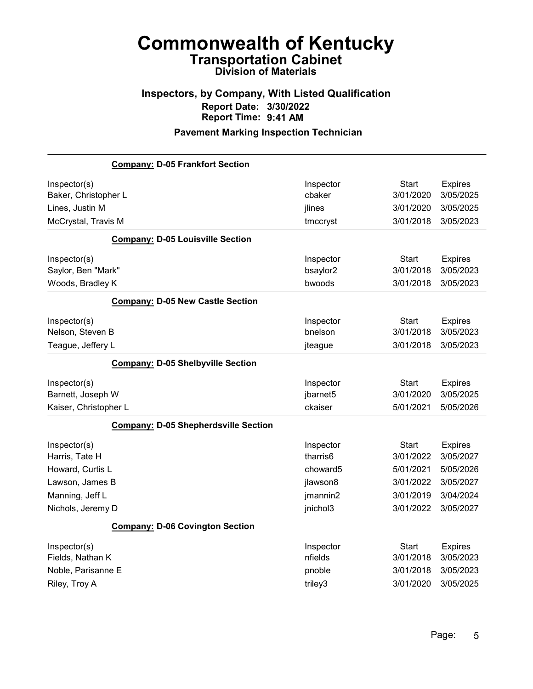## Inspectors, by Company, With Listed Qualification Report Date: 3/30/2022 Report Time: 9:41 AM

|                                      | <b>Company: D-05 Frankfort Section</b>      |                       |                           |                             |
|--------------------------------------|---------------------------------------------|-----------------------|---------------------------|-----------------------------|
| Inspector(s)<br>Baker, Christopher L |                                             | Inspector<br>cbaker   | <b>Start</b><br>3/01/2020 | <b>Expires</b><br>3/05/2025 |
| Lines, Justin M                      |                                             | jlines                | 3/01/2020                 | 3/05/2025                   |
| McCrystal, Travis M                  |                                             | tmccryst              | 3/01/2018                 | 3/05/2023                   |
|                                      | <b>Company: D-05 Louisville Section</b>     |                       |                           |                             |
| Inspector(s)                         |                                             | Inspector             | Start                     | <b>Expires</b>              |
| Saylor, Ben "Mark"                   |                                             | bsaylor2              | 3/01/2018                 | 3/05/2023                   |
| Woods, Bradley K                     |                                             | bwoods                | 3/01/2018                 | 3/05/2023                   |
|                                      | <b>Company: D-05 New Castle Section</b>     |                       |                           |                             |
| Inspector(s)                         |                                             | Inspector             | <b>Start</b>              | Expires                     |
| Nelson, Steven B                     |                                             | bnelson               | 3/01/2018                 | 3/05/2023                   |
| Teague, Jeffery L                    |                                             | jteague               | 3/01/2018                 | 3/05/2023                   |
|                                      | <b>Company: D-05 Shelbyville Section</b>    |                       |                           |                             |
|                                      |                                             |                       |                           |                             |
| Inspector(s)<br>Barnett, Joseph W    |                                             | Inspector<br>jbarnet5 | <b>Start</b><br>3/01/2020 | <b>Expires</b><br>3/05/2025 |
| Kaiser, Christopher L                |                                             | ckaiser               | 5/01/2021                 | 5/05/2026                   |
|                                      | <b>Company: D-05 Shepherdsville Section</b> |                       |                           |                             |
| Inspector(s)<br>Harris, Tate H       |                                             | Inspector<br>tharris6 | <b>Start</b><br>3/01/2022 | <b>Expires</b><br>3/05/2027 |
| Howard, Curtis L                     |                                             | choward5              | 5/01/2021                 | 5/05/2026                   |
| Lawson, James B                      |                                             | jlawson8              | 3/01/2022                 | 3/05/2027                   |
| Manning, Jeff L                      |                                             | jmannin2              | 3/01/2019                 | 3/04/2024                   |
| Nichols, Jeremy D                    |                                             | jnichol3              | 3/01/2022                 | 3/05/2027                   |
|                                      | <b>Company: D-06 Covington Section</b>      |                       |                           |                             |
| Inspector(s)<br>Fields, Nathan K     |                                             | Inspector<br>nfields  | <b>Start</b><br>3/01/2018 | <b>Expires</b><br>3/05/2023 |
| Noble, Parisanne E<br>Riley, Troy A  |                                             | pnoble<br>triley3     | 3/01/2018<br>3/01/2020    | 3/05/2023<br>3/05/2025      |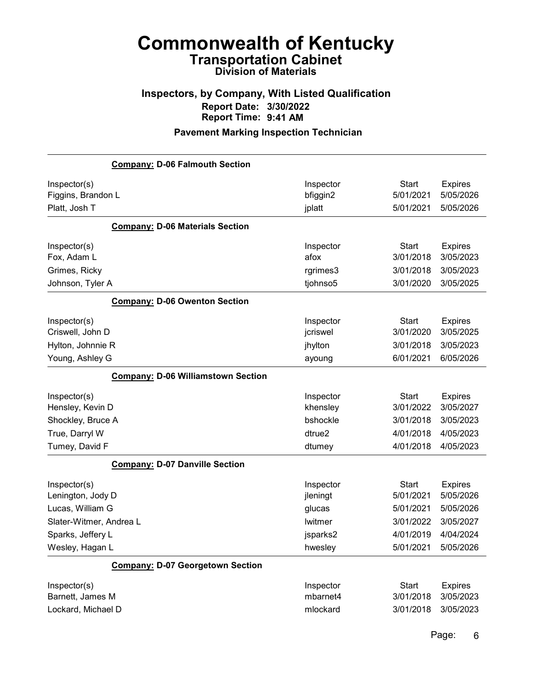### Inspectors, by Company, With Listed Qualification Report Date: 3/30/2022 Report Time: 9:41 AM

|                                                                                                                          | <b>Company: D-06 Falmouth Section</b>     |                                                                   |                                                                               |                                                                                 |
|--------------------------------------------------------------------------------------------------------------------------|-------------------------------------------|-------------------------------------------------------------------|-------------------------------------------------------------------------------|---------------------------------------------------------------------------------|
| Inspector(s)<br>Figgins, Brandon L<br>Platt, Josh T                                                                      |                                           | Inspector<br>bfiggin2<br>jplatt                                   | <b>Start</b><br>5/01/2021<br>5/01/2021                                        | <b>Expires</b><br>5/05/2026<br>5/05/2026                                        |
|                                                                                                                          | <b>Company: D-06 Materials Section</b>    |                                                                   |                                                                               |                                                                                 |
| Inspector(s)<br>Fox, Adam L<br>Grimes, Ricky                                                                             |                                           | Inspector<br>afox<br>rgrimes3                                     | <b>Start</b><br>3/01/2018<br>3/01/2018                                        | <b>Expires</b><br>3/05/2023<br>3/05/2023                                        |
| Johnson, Tyler A                                                                                                         |                                           | tjohnso5                                                          | 3/01/2020                                                                     | 3/05/2025                                                                       |
|                                                                                                                          | <b>Company: D-06 Owenton Section</b>      |                                                                   |                                                                               |                                                                                 |
| Inspector(s)<br>Criswell, John D<br>Hylton, Johnnie R<br>Young, Ashley G                                                 |                                           | Inspector<br>jcriswel<br>jhylton<br>ayoung                        | <b>Start</b><br>3/01/2020<br>3/01/2018<br>6/01/2021                           | <b>Expires</b><br>3/05/2025<br>3/05/2023<br>6/05/2026                           |
|                                                                                                                          | <b>Company: D-06 Williamstown Section</b> |                                                                   |                                                                               |                                                                                 |
| Inspector(s)<br>Hensley, Kevin D<br>Shockley, Bruce A                                                                    |                                           | Inspector<br>khensley<br>bshockle                                 | <b>Start</b><br>3/01/2022<br>3/01/2018                                        | <b>Expires</b><br>3/05/2027<br>3/05/2023                                        |
| True, Darryl W<br>Tumey, David F                                                                                         |                                           | dtrue2<br>dtumey                                                  | 4/01/2018<br>4/01/2018                                                        | 4/05/2023<br>4/05/2023                                                          |
|                                                                                                                          | <b>Company: D-07 Danville Section</b>     |                                                                   |                                                                               |                                                                                 |
| Inspector(s)<br>Lenington, Jody D<br>Lucas, William G<br>Slater-Witmer, Andrea L<br>Sparks, Jeffery L<br>Wesley, Hagan L |                                           | Inspector<br>jleningt<br>glucas<br>lwitmer<br>jsparks2<br>hwesley | <b>Start</b><br>5/01/2021<br>5/01/2021<br>3/01/2022<br>4/01/2019<br>5/01/2021 | <b>Expires</b><br>5/05/2026<br>5/05/2026<br>3/05/2027<br>4/04/2024<br>5/05/2026 |
|                                                                                                                          |                                           |                                                                   |                                                                               |                                                                                 |
|                                                                                                                          | <b>Company: D-07 Georgetown Section</b>   |                                                                   |                                                                               |                                                                                 |
| Inspector(s)<br>Barnett, James M<br>Lockard, Michael D                                                                   |                                           | Inspector<br>mbarnet4<br>mlockard                                 | <b>Start</b><br>3/01/2018<br>3/01/2018                                        | <b>Expires</b><br>3/05/2023<br>3/05/2023                                        |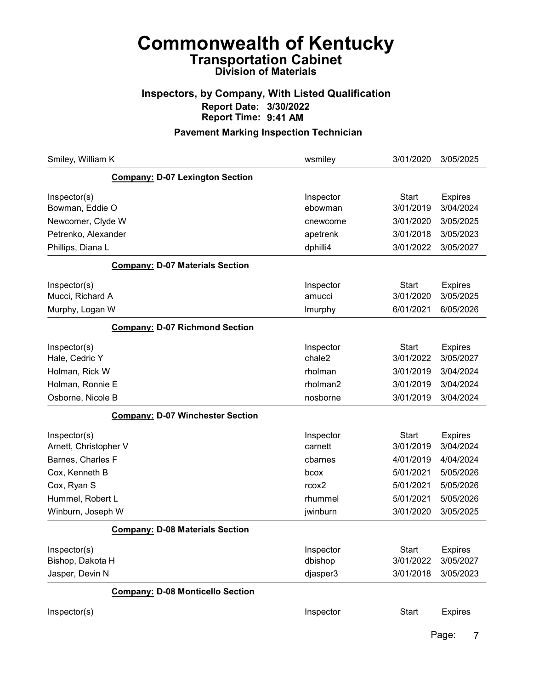### Inspectors, by Company, With Listed Qualification Report Date: 3/30/2022 Report Time: 9:41 AM

#### Pavement Marking Inspection Technician

| Smiley, William K                       | wsmiley              | 3/01/2020                 | 3/05/2025                   |
|-----------------------------------------|----------------------|---------------------------|-----------------------------|
| <b>Company: D-07 Lexington Section</b>  |                      |                           |                             |
| Inspector(s)<br>Bowman, Eddie O         | Inspector<br>ebowman | <b>Start</b><br>3/01/2019 | <b>Expires</b><br>3/04/2024 |
| Newcomer, Clyde W                       | cnewcome             | 3/01/2020                 | 3/05/2025                   |
| Petrenko, Alexander                     | apetrenk             | 3/01/2018                 | 3/05/2023                   |
| Phillips, Diana L                       | dphilli4             | 3/01/2022                 | 3/05/2027                   |
| <b>Company: D-07 Materials Section</b>  |                      |                           |                             |
| Inspector(s)                            | Inspector            | Start                     | <b>Expires</b>              |
| Mucci, Richard A                        | amucci               | 3/01/2020                 | 3/05/2025                   |
| Murphy, Logan W                         | Imurphy              | 6/01/2021                 | 6/05/2026                   |
| <b>Company: D-07 Richmond Section</b>   |                      |                           |                             |
| Inspector(s)                            | Inspector            | <b>Start</b>              | <b>Expires</b>              |
| Hale, Cedric Y                          | chale2               | 3/01/2022                 | 3/05/2027                   |
| Holman, Rick W                          | rholman              | 3/01/2019                 | 3/04/2024                   |
| Holman, Ronnie E                        | rholman2             | 3/01/2019                 | 3/04/2024                   |
| Osborne, Nicole B                       | nosborne             | 3/01/2019                 | 3/04/2024                   |
| <b>Company: D-07 Winchester Section</b> |                      |                           |                             |
| Inspector(s)                            | Inspector            | <b>Start</b>              | <b>Expires</b>              |
| Arnett, Christopher V                   | carnett              | 3/01/2019                 | 3/04/2024                   |
| Barnes, Charles F                       | cbarnes              | 4/01/2019                 | 4/04/2024                   |
| Cox, Kenneth B                          | bcox                 | 5/01/2021                 | 5/05/2026                   |
| Cox, Ryan S                             | rcox2                | 5/01/2021                 | 5/05/2026                   |
| Hummel, Robert L                        | rhummel              | 5/01/2021                 | 5/05/2026                   |
| Winburn, Joseph W                       | jwinburn             | 3/01/2020                 | 3/05/2025                   |
| <b>Company: D-08 Materials Section</b>  |                      |                           |                             |
| Inspector(s)<br>Bishop, Dakota H        | Inspector<br>dbishop | <b>Start</b><br>3/01/2022 | <b>Expires</b><br>3/05/2027 |
| Jasper, Devin N                         | djasper3             | 3/01/2018                 | 3/05/2023                   |
| <b>Company: D-08 Monticello Section</b> |                      |                           |                             |
| Inspector(s)                            | Inspector            | <b>Start</b>              | <b>Expires</b>              |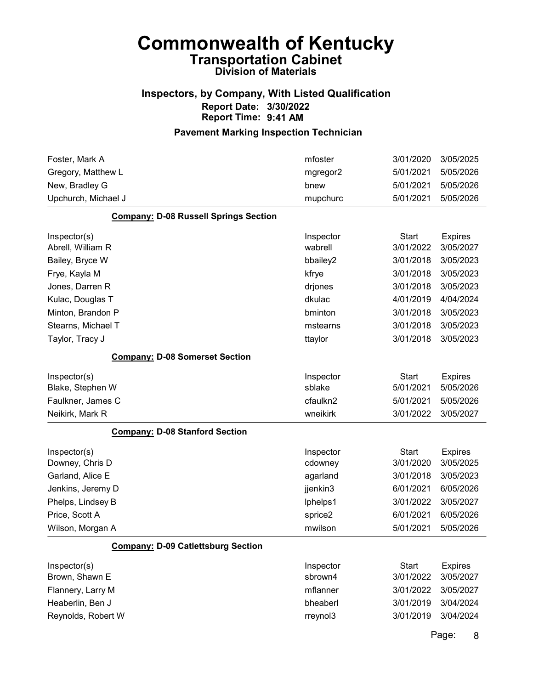### Inspectors, by Company, With Listed Qualification Report Date: 3/30/2022 Report Time: 9:41 AM

#### Pavement Marking Inspection Technician

| Foster, Mark A<br>Gregory, Matthew L         | mfoster<br>mgregor2  | 3/01/2020<br>5/01/2021    | 3/05/2025<br>5/05/2026      |
|----------------------------------------------|----------------------|---------------------------|-----------------------------|
| New, Bradley G                               | bnew                 | 5/01/2021                 | 5/05/2026                   |
| Upchurch, Michael J                          | mupchurc             | 5/01/2021                 | 5/05/2026                   |
| <b>Company: D-08 Russell Springs Section</b> |                      |                           |                             |
| Inspector(s)<br>Abrell, William R            | Inspector<br>wabrell | <b>Start</b><br>3/01/2022 | <b>Expires</b><br>3/05/2027 |
| Bailey, Bryce W                              | bbailey2             | 3/01/2018                 | 3/05/2023                   |
| Frye, Kayla M                                | kfrye                | 3/01/2018                 | 3/05/2023                   |
| Jones, Darren R                              | drjones              | 3/01/2018                 | 3/05/2023                   |
| Kulac, Douglas T                             | dkulac               | 4/01/2019                 | 4/04/2024                   |
| Minton, Brandon P                            | bminton              | 3/01/2018                 | 3/05/2023                   |
| Stearns, Michael T                           | mstearns             | 3/01/2018                 | 3/05/2023                   |
| Taylor, Tracy J                              | ttaylor              | 3/01/2018                 | 3/05/2023                   |
| <b>Company: D-08 Somerset Section</b>        |                      |                           |                             |
| Inspector(s)<br>Blake, Stephen W             | Inspector<br>sblake  | <b>Start</b><br>5/01/2021 | <b>Expires</b><br>5/05/2026 |
| Faulkner, James C                            | cfaulkn2             | 5/01/2021                 | 5/05/2026                   |
| Neikirk, Mark R                              | wneikirk             | 3/01/2022                 | 3/05/2027                   |
| <b>Company: D-08 Stanford Section</b>        |                      |                           |                             |
| Inspector(s)<br>Downey, Chris D              | Inspector<br>cdowney | <b>Start</b><br>3/01/2020 | <b>Expires</b><br>3/05/2025 |
| Garland, Alice E                             | agarland             | 3/01/2018                 | 3/05/2023                   |
| Jenkins, Jeremy D                            | jjenkin3             | 6/01/2021                 | 6/05/2026                   |
| Phelps, Lindsey B                            | lphelps1             | 3/01/2022                 | 3/05/2027                   |
| Price, Scott A                               | sprice2              | 6/01/2021                 | 6/05/2026                   |
| Wilson, Morgan A                             | mwilson              | 5/01/2021                 | 5/05/2026                   |
| <b>Company: D-09 Catlettsburg Section</b>    |                      |                           |                             |
| Inspector(s)                                 | Inspector            | <b>Start</b>              | <b>Expires</b>              |
| Brown, Shawn E                               | sbrown4              | 3/01/2022                 | 3/05/2027                   |
| Flannery, Larry M                            | mflanner             | 3/01/2022                 | 3/05/2027                   |
| Heaberlin, Ben J                             | bheaberl             | 3/01/2019                 | 3/04/2024                   |
| Reynolds, Robert W                           | rreynol3             | 3/01/2019                 | 3/04/2024                   |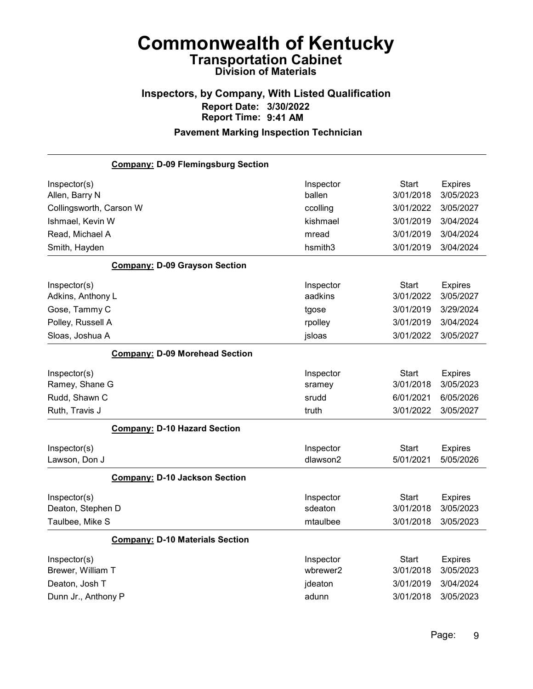## Inspectors, by Company, With Listed Qualification Report Date: 3/30/2022 Report Time: 9:41 AM

| <b>Company: D-09 Flemingsburg Section</b> |           |              |                |
|-------------------------------------------|-----------|--------------|----------------|
| Inspector(s)                              | Inspector | <b>Start</b> | <b>Expires</b> |
| Allen, Barry N                            | ballen    | 3/01/2018    | 3/05/2023      |
| Collingsworth, Carson W                   | ccolling  | 3/01/2022    | 3/05/2027      |
| Ishmael, Kevin W                          | kishmael  | 3/01/2019    | 3/04/2024      |
| Read, Michael A                           | mread     | 3/01/2019    | 3/04/2024      |
| Smith, Hayden                             | hsmith3   | 3/01/2019    | 3/04/2024      |
| <b>Company: D-09 Grayson Section</b>      |           |              |                |
| Inspector(s)                              | Inspector | <b>Start</b> | <b>Expires</b> |
| Adkins, Anthony L                         | aadkins   | 3/01/2022    | 3/05/2027      |
| Gose, Tammy C                             | tgose     | 3/01/2019    | 3/29/2024      |
| Polley, Russell A                         | rpolley   | 3/01/2019    | 3/04/2024      |
| Sloas, Joshua A                           | jsloas    | 3/01/2022    | 3/05/2027      |
| <b>Company: D-09 Morehead Section</b>     |           |              |                |
| Inspector(s)                              | Inspector | <b>Start</b> | <b>Expires</b> |
| Ramey, Shane G                            | sramey    | 3/01/2018    | 3/05/2023      |
| Rudd, Shawn C                             | srudd     | 6/01/2021    | 6/05/2026      |
| Ruth, Travis J                            | truth     | 3/01/2022    | 3/05/2027      |
| <b>Company: D-10 Hazard Section</b>       |           |              |                |
| Inspector(s)                              | Inspector | <b>Start</b> | <b>Expires</b> |
| Lawson, Don J                             | dlawson2  | 5/01/2021    | 5/05/2026      |
| <b>Company: D-10 Jackson Section</b>      |           |              |                |
| Inspector(s)                              | Inspector | <b>Start</b> | <b>Expires</b> |
| Deaton, Stephen D                         | sdeaton   | 3/01/2018    | 3/05/2023      |
| Taulbee, Mike S                           | mtaulbee  | 3/01/2018    | 3/05/2023      |
| <b>Company: D-10 Materials Section</b>    |           |              |                |
| Inspector(s)                              | Inspector | <b>Start</b> | <b>Expires</b> |
| Brewer, William T                         | wbrewer2  | 3/01/2018    | 3/05/2023      |
| Deaton, Josh T                            | jdeaton   | 3/01/2019    | 3/04/2024      |
| Dunn Jr., Anthony P                       | adunn     | 3/01/2018    | 3/05/2023      |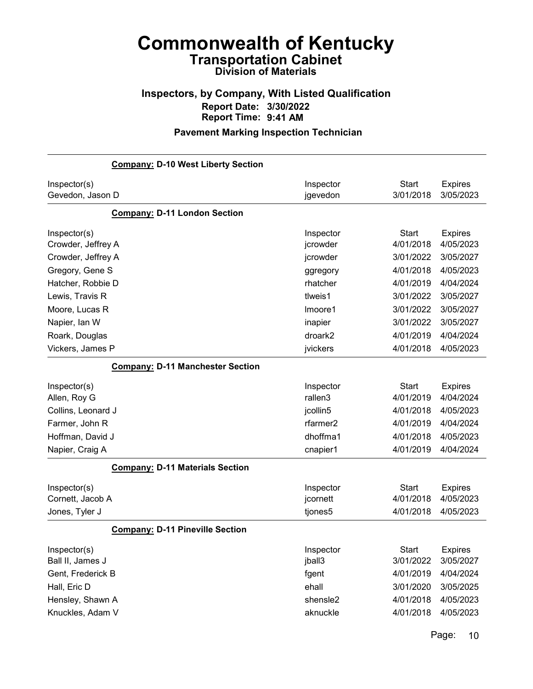## Inspectors, by Company, With Listed Qualification Report Date: 3/30/2022 Report Time: 9:41 AM

#### Pavement Marking Inspection Technician

|                    | <b>Company: D-10 West Liberty Section</b> |                      |              |                |
|--------------------|-------------------------------------------|----------------------|--------------|----------------|
| Inspector(s)       |                                           | Inspector            | <b>Start</b> | <b>Expires</b> |
| Gevedon, Jason D   |                                           | jgevedon             | 3/01/2018    | 3/05/2023      |
|                    | <b>Company: D-11 London Section</b>       |                      |              |                |
| Inspector(s)       |                                           | Inspector            | <b>Start</b> | <b>Expires</b> |
| Crowder, Jeffrey A |                                           | jcrowder             | 4/01/2018    | 4/05/2023      |
| Crowder, Jeffrey A |                                           | jcrowder             | 3/01/2022    | 3/05/2027      |
| Gregory, Gene S    |                                           | ggregory             | 4/01/2018    | 4/05/2023      |
| Hatcher, Robbie D  |                                           | rhatcher             | 4/01/2019    | 4/04/2024      |
| Lewis, Travis R    |                                           | tlweis1              | 3/01/2022    | 3/05/2027      |
| Moore, Lucas R     |                                           | Imoore1              | 3/01/2022    | 3/05/2027      |
| Napier, Ian W      |                                           | inapier              | 3/01/2022    | 3/05/2027      |
| Roark, Douglas     |                                           | droark2              | 4/01/2019    | 4/04/2024      |
| Vickers, James P   |                                           | jvickers             | 4/01/2018    | 4/05/2023      |
|                    | <b>Company: D-11 Manchester Section</b>   |                      |              |                |
| Inspector(s)       |                                           | Inspector            | <b>Start</b> | <b>Expires</b> |
| Allen, Roy G       |                                           | rallen3              | 4/01/2019    | 4/04/2024      |
| Collins, Leonard J |                                           | jcollin5             | 4/01/2018    | 4/05/2023      |
| Farmer, John R     |                                           | rfarmer <sub>2</sub> | 4/01/2019    | 4/04/2024      |
| Hoffman, David J   |                                           | dhoffma1             | 4/01/2018    | 4/05/2023      |
| Napier, Craig A    |                                           | cnapier1             | 4/01/2019    | 4/04/2024      |
|                    | <b>Company: D-11 Materials Section</b>    |                      |              |                |
| Inspector(s)       |                                           | Inspector            | Start        | <b>Expires</b> |
| Cornett, Jacob A   |                                           | jcornett             | 4/01/2018    | 4/05/2023      |
| Jones, Tyler J     |                                           | tjones5              | 4/01/2018    | 4/05/2023      |
|                    | <b>Company: D-11 Pineville Section</b>    |                      |              |                |
| Inspector(s)       |                                           | Inspector            | <b>Start</b> | <b>Expires</b> |
| Ball II, James J   |                                           | jball3               | 3/01/2022    | 3/05/2027      |
| Gent, Frederick B  |                                           | fgent                | 4/01/2019    | 4/04/2024      |
| Hall, Eric D       |                                           | ehall                | 3/01/2020    | 3/05/2025      |
| Hensley, Shawn A   |                                           | shensle2             | 4/01/2018    | 4/05/2023      |
| Knuckles, Adam V   |                                           | aknuckle             | 4/01/2018    | 4/05/2023      |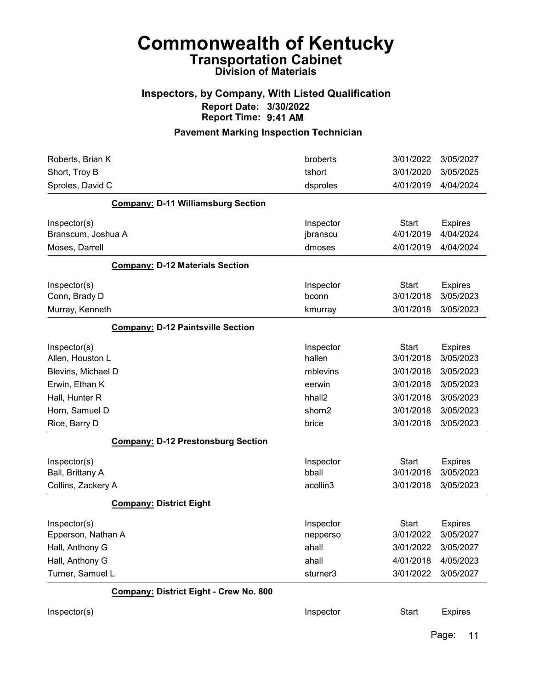### Inspectors, by Company, With Listed Qualification Report Date: 3/30/2022 Report Time: 9:41 AM

| Roberts, Brian K                          | broberts           | 3/01/2022    | 3/05/2027      |
|-------------------------------------------|--------------------|--------------|----------------|
| Short, Troy B                             | tshort             | 3/01/2020    | 3/05/2025      |
| Sproles, David C                          | dsproles           | 4/01/2019    | 4/04/2024      |
| <b>Company: D-11 Williamsburg Section</b> |                    |              |                |
| Inspector(s)                              | Inspector          | <b>Start</b> | <b>Expires</b> |
| Branscum, Joshua A                        | jbranscu           | 4/01/2019    | 4/04/2024      |
| Moses, Darrell                            | dmoses             | 4/01/2019    | 4/04/2024      |
| <b>Company: D-12 Materials Section</b>    |                    |              |                |
| Inspector(s)                              | Inspector          | <b>Start</b> | <b>Expires</b> |
| Conn, Brady D                             | bconn              | 3/01/2018    | 3/05/2023      |
| Murray, Kenneth                           | kmurray            | 3/01/2018    | 3/05/2023      |
| <b>Company: D-12 Paintsville Section</b>  |                    |              |                |
| Inspector(s)                              | Inspector          | <b>Start</b> | <b>Expires</b> |
| Allen, Houston L                          | hallen             | 3/01/2018    | 3/05/2023      |
| Blevins, Michael D                        | mblevins           | 3/01/2018    | 3/05/2023      |
| Erwin, Ethan K                            | eerwin             | 3/01/2018    | 3/05/2023      |
| Hall, Hunter R                            | hhall <sub>2</sub> | 3/01/2018    | 3/05/2023      |
| Horn, Samuel D                            | shorn2             | 3/01/2018    | 3/05/2023      |
| Rice, Barry D                             | brice              | 3/01/2018    | 3/05/2023      |
| <b>Company: D-12 Prestonsburg Section</b> |                    |              |                |
| Inspector(s)                              | Inspector          | <b>Start</b> | <b>Expires</b> |
| Ball, Brittany A                          | bball              | 3/01/2018    | 3/05/2023      |
| Collins, Zackery A                        | acollin3           | 3/01/2018    | 3/05/2023      |
| <b>Company: District Eight</b>            |                    |              |                |
| Inspector(s)                              | Inspector          | <b>Start</b> | <b>Expires</b> |
| Epperson, Nathan A                        | nepperso           | 3/01/2022    | 3/05/2027      |
| Hall, Anthony G                           | ahall              | 3/01/2022    | 3/05/2027      |
| Hall, Anthony G                           | ahall              | 4/01/2018    | 4/05/2023      |
| Turner, Samuel L                          | sturner3           | 3/01/2022    | 3/05/2027      |
| Company: District Eight - Crew No. 800    |                    |              |                |
| Inspector(s)                              | Inspector          | <b>Start</b> | <b>Expires</b> |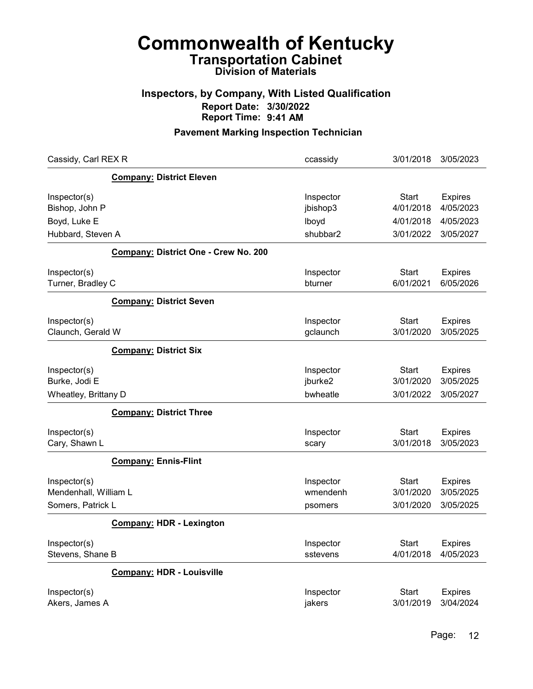## Inspectors, by Company, With Listed Qualification Report Date: 3/30/2022 Report Time: 9:41 AM

| Cassidy, Carl REX R   |                                      | ccassidy  | 3/01/2018    | 3/05/2023      |
|-----------------------|--------------------------------------|-----------|--------------|----------------|
|                       | <b>Company: District Eleven</b>      |           |              |                |
| Inspector(s)          |                                      | Inspector | Start        | <b>Expires</b> |
| Bishop, John P        |                                      | jbishop3  | 4/01/2018    | 4/05/2023      |
| Boyd, Luke E          |                                      | lboyd     | 4/01/2018    | 4/05/2023      |
| Hubbard, Steven A     |                                      | shubbar2  | 3/01/2022    | 3/05/2027      |
|                       | Company: District One - Crew No. 200 |           |              |                |
| Inspector(s)          |                                      | Inspector | Start        | <b>Expires</b> |
| Turner, Bradley C     |                                      | bturner   | 6/01/2021    | 6/05/2026      |
|                       | <b>Company: District Seven</b>       |           |              |                |
| Inspector(s)          |                                      | Inspector | <b>Start</b> | Expires        |
| Claunch, Gerald W     |                                      | gclaunch  | 3/01/2020    | 3/05/2025      |
|                       | <b>Company: District Six</b>         |           |              |                |
| Inspector(s)          |                                      | Inspector | <b>Start</b> | <b>Expires</b> |
| Burke, Jodi E         |                                      | jburke2   | 3/01/2020    | 3/05/2025      |
| Wheatley, Brittany D  |                                      | bwheatle  | 3/01/2022    | 3/05/2027      |
|                       | <b>Company: District Three</b>       |           |              |                |
| Inspector(s)          |                                      | Inspector | Start        | <b>Expires</b> |
| Cary, Shawn L         |                                      | scary     | 3/01/2018    | 3/05/2023      |
|                       | <b>Company: Ennis-Flint</b>          |           |              |                |
| Inspector(s)          |                                      | Inspector | <b>Start</b> | <b>Expires</b> |
| Mendenhall, William L |                                      | wmendenh  | 3/01/2020    | 3/05/2025      |
| Somers, Patrick L     |                                      | psomers   | 3/01/2020    | 3/05/2025      |
|                       | <b>Company: HDR - Lexington</b>      |           |              |                |
| Inspector(s)          |                                      | Inspector | Start        | <b>Expires</b> |
| Stevens, Shane B      |                                      | sstevens  | 4/01/2018    | 4/05/2023      |
|                       | <b>Company: HDR - Louisville</b>     |           |              |                |
| Inspector(s)          |                                      | Inspector | <b>Start</b> | <b>Expires</b> |
| Akers, James A        |                                      | jakers    | 3/01/2019    | 3/04/2024      |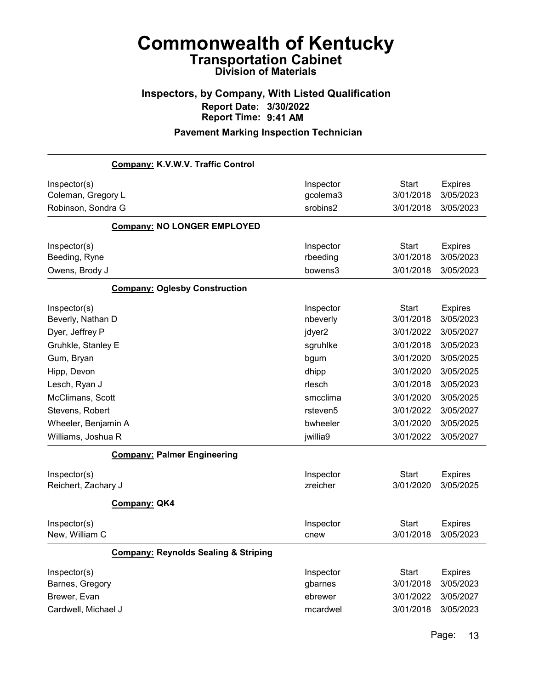## Inspectors, by Company, With Listed Qualification Report Date: 3/30/2022 Report Time: 9:41 AM

|                                                                                                                                                                 | Company: K.V.W.V. Traffic Control               |                                                                                                |                                                                                                                      |                                                                                                                        |
|-----------------------------------------------------------------------------------------------------------------------------------------------------------------|-------------------------------------------------|------------------------------------------------------------------------------------------------|----------------------------------------------------------------------------------------------------------------------|------------------------------------------------------------------------------------------------------------------------|
| Inspector(s)<br>Coleman, Gregory L<br>Robinson, Sondra G                                                                                                        |                                                 | Inspector<br>gcolema3<br>srobins2                                                              | <b>Start</b><br>3/01/2018<br>3/01/2018                                                                               | <b>Expires</b><br>3/05/2023<br>3/05/2023                                                                               |
|                                                                                                                                                                 | <b>Company: NO LONGER EMPLOYED</b>              |                                                                                                |                                                                                                                      |                                                                                                                        |
| Inspector(s)<br>Beeding, Ryne<br>Owens, Brody J                                                                                                                 |                                                 | Inspector<br>rbeeding<br>bowens3                                                               | <b>Start</b><br>3/01/2018<br>3/01/2018                                                                               | <b>Expires</b><br>3/05/2023<br>3/05/2023                                                                               |
|                                                                                                                                                                 | <b>Company: Oglesby Construction</b>            |                                                                                                |                                                                                                                      |                                                                                                                        |
| Inspector(s)<br>Beverly, Nathan D<br>Dyer, Jeffrey P<br>Gruhkle, Stanley E<br>Gum, Bryan<br>Hipp, Devon<br>Lesch, Ryan J<br>McClimans, Scott<br>Stevens, Robert |                                                 | Inspector<br>nbeverly<br>jdyer2<br>sgruhlke<br>bgum<br>dhipp<br>rlesch<br>smcclima<br>rsteven5 | <b>Start</b><br>3/01/2018<br>3/01/2022<br>3/01/2018<br>3/01/2020<br>3/01/2020<br>3/01/2018<br>3/01/2020<br>3/01/2022 | <b>Expires</b><br>3/05/2023<br>3/05/2027<br>3/05/2023<br>3/05/2025<br>3/05/2025<br>3/05/2023<br>3/05/2025<br>3/05/2027 |
| Wheeler, Benjamin A                                                                                                                                             |                                                 | bwheeler                                                                                       | 3/01/2020                                                                                                            | 3/05/2025                                                                                                              |
| Williams, Joshua R                                                                                                                                              |                                                 | jwillia9                                                                                       | 3/01/2022                                                                                                            | 3/05/2027                                                                                                              |
| Inspector(s)<br>Reichert, Zachary J                                                                                                                             | <b>Company: Palmer Engineering</b>              | Inspector<br>zreicher                                                                          | <b>Start</b><br>3/01/2020                                                                                            | <b>Expires</b><br>3/05/2025                                                                                            |
|                                                                                                                                                                 | <b>Company: QK4</b>                             |                                                                                                |                                                                                                                      |                                                                                                                        |
| Inspector(s)<br>New, William C                                                                                                                                  |                                                 | Inspector<br>cnew                                                                              | <b>Start</b><br>3/01/2018                                                                                            | <b>Expires</b><br>3/05/2023                                                                                            |
|                                                                                                                                                                 | <b>Company: Reynolds Sealing &amp; Striping</b> |                                                                                                |                                                                                                                      |                                                                                                                        |
| Inspector(s)<br>Barnes, Gregory<br>Brewer, Evan<br>Cardwell, Michael J                                                                                          |                                                 | Inspector<br>gbarnes<br>ebrewer<br>mcardwel                                                    | <b>Start</b><br>3/01/2018<br>3/01/2022<br>3/01/2018                                                                  | <b>Expires</b><br>3/05/2023<br>3/05/2027<br>3/05/2023                                                                  |